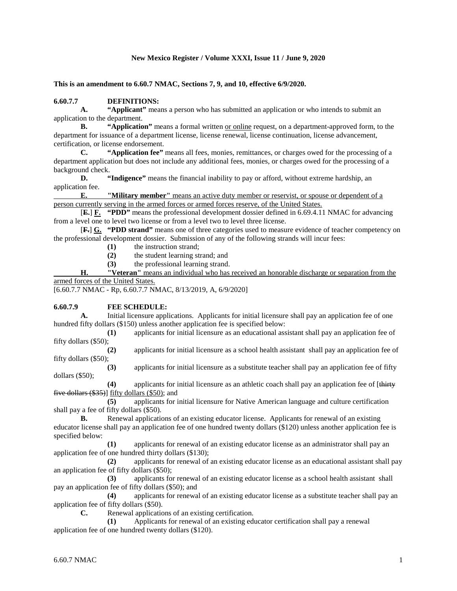### **New Mexico Register / Volume XXXI, Issue 11 / June 9, 2020**

**This is an amendment to 6.60.7 NMAC, Sections 7, 9, and 10, effective 6/9/2020.**

### **6.60.7.7 DEFINITIONS:**

**A. "Applicant"** means a person who has submitted an application or who intends to submit an application to the department.

**B. "Application"** means a formal written <u>or online</u> request, on a department-approved form, to the department for issuance of a department license, license renewal, license continuation, license advancement, certification, or license endorsement.

**C. "Application fee"** means all fees, monies, remittances, or charges owed for the processing of a department application but does not include any additional fees, monies, or charges owed for the processing of a background check.

**D. "Indigence"** means the financial inability to pay or afford, without extreme hardship, an application fee.

**E. "Military member"** means an active duty member or reservist, or spouse or dependent of a person currently serving in the armed forces or armed forces reserve, of the United States.

[**E.**] **F. "PDD"** means the professional development dossier defined in 6.69.4.11 NMAC for advancing from a level one to level two license or from a level two to level three license.

[**F.**] **G. "PDD strand"** means one of three categories used to measure evidence of teacher competency on the professional development dossier. Submission of any of the following strands will incur fees:

- **(1)** the instruction strand;
- **(2)** the student learning strand; and
- **(3)** the professional learning strand.

**H. "Veteran"** means an individual who has received an honorable discharge or separation from the armed forces of the United States.

[6.60.7.7 NMAC - Rp, 6.60.7.7 NMAC, 8/13/2019, A, 6/9/2020]

#### **6.60.7.9 FEE SCHEDULE:**

**A.** Initial licensure applications. Applicants for initial licensure shall pay an application fee of one hundred fifty dollars (\$150) unless another application fee is specified below:

**(1)** applicants for initial licensure as an educational assistant shall pay an application fee of fifty dollars (\$50);

**(2)** applicants for initial licensure as a school health assistant shall pay an application fee of fifty dollars (\$50);

**(3)** applicants for initial licensure as a substitute teacher shall pay an application fee of fifty dollars (\$50);

**(4)** applicants for initial licensure as an athletic coach shall pay an application fee of [thirty five dollars (\$35)] fifty dollars (\$50); and

**(5)** applicants for initial licensure for Native American language and culture certification shall pay a fee of fifty dollars (\$50).

**B.** Renewal applications of an existing educator license. Applicants for renewal of an existing educator license shall pay an application fee of one hundred twenty dollars (\$120) unless another application fee is specified below:

**(1)** applicants for renewal of an existing educator license as an administrator shall pay an application fee of one hundred thirty dollars (\$130);

**(2)** applicants for renewal of an existing educator license as an educational assistant shall pay an application fee of fifty dollars (\$50);

**(3)** applicants for renewal of an existing educator license as a school health assistant shall pay an application fee of fifty dollars (\$50); and

**(4)** applicants for renewal of an existing educator license as a substitute teacher shall pay an application fee of fifty dollars (\$50).

**C.** Renewal applications of an existing certification.

**(1)** Applicants for renewal of an existing educator certification shall pay a renewal application fee of one hundred twenty dollars (\$120).